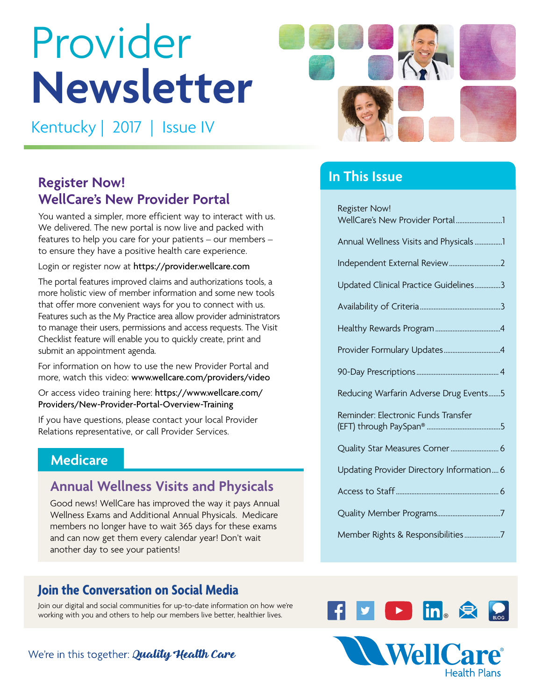# Provider **Newsletter**

Kentucky | 2017 | Issue IV

## **Register Now! WellCare's New Provider Portal**

You wanted a simpler, more efficient way to interact with us. We delivered. The new portal is now live and packed with features to help you care for your patients – our members – to ensure they have a positive health care experience.

Login or register now at <https://provider.wellcare.com>

The portal features improved claims and authorizations tools, a more holistic view of member information and some new tools that offer more convenient ways for you to connect with us. Features such as the My Practice area allow provider administrators to manage their users, permissions and access requests. The Visit Checklist feature will enable you to quickly create, print and submit an appointment agenda.

For information on how to use the new Provider Portal and more, watch this video: [www.wellcare.com/providers/video](http://www.wellcare.com/providers/video)

Or access video training here: [https://www.wellcare.com/](https://www.wellcare.com/Providers/New-Provider-Portal-Overview-Training) [Providers/New-Provider-Portal-Overview-Training](https://www.wellcare.com/Providers/New-Provider-Portal-Overview-Training) 

If you have questions, please contact your local Provider Relations representative, or call Provider Services.

### **Medicare**

### **Annual Wellness Visits and Physicals**

Good news! WellCare has improved the way it pays Annual Wellness Exams and Additional Annual Physicals. Medicare members no longer have to wait 365 days for these exams and can now get them every calendar year! Don't wait another day to see your patients!

### **Join the Conversation on Social Media**

Join our digital and social communities for up-to-date information on how we're working with you and others to help our members live better, healthier lives.

### We're in this together: Quality Health Care



### **In This Issue**

| <b>Register Now!</b>                      |
|-------------------------------------------|
| WellCare's New Provider Portal1           |
| Annual Wellness Visits and Physicals 1    |
|                                           |
| Updated Clinical Practice Guidelines3     |
|                                           |
|                                           |
| Provider Formulary Updates4               |
|                                           |
| Reducing Warfarin Adverse Drug Events5    |
| Reminder: Electronic Funds Transfer       |
| Quality Star Measures Corner  6           |
| Updating Provider Directory Information 6 |
|                                           |
|                                           |
| Member Rights & Responsibilities7         |



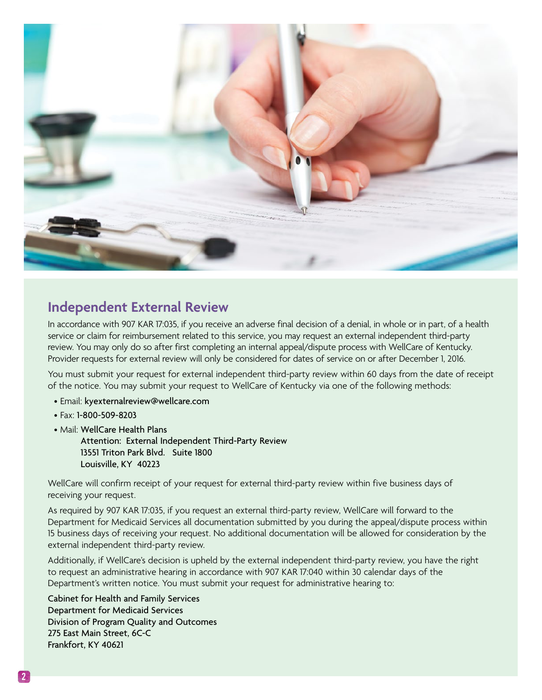<span id="page-1-0"></span>

### **Independent External Review**

In accordance with 907 KAR 17:035, if you receive an adverse final decision of a denial, in whole or in part, of a health service or claim for reimbursement related to this service, you may request an external independent third-party review. You may only do so after first completing an internal appeal/dispute process with WellCare of Kentucky. Provider requests for external review will only be considered for dates of service on or after December 1, 2016.

You must submit your request for external independent third-party review within 60 days from the date of receipt of the notice. You may submit your request to WellCare of Kentucky via one of the following methods:

- Email: [kyexternalreview@wellcare.com](mailto:kyexternalreview@wellcare.com)
- Fax: 1-800-509-8203
- Mail: WellCare Health Plans

Attention: External Independent Third-Party Review 13551 Triton Park Blvd. Suite 1800 Louisville, KY 40223

WellCare will confirm receipt of your request for external third-party review within five business days of receiving your request.

As required by 907 KAR 17:035, if you request an external third-party review, WellCare will forward to the Department for Medicaid Services all documentation submitted by you during the appeal/dispute process within 15 business days of receiving your request. No additional documentation will be allowed for consideration by the external independent third-party review.

Additionally, if WellCare's decision is upheld by the external independent third-party review, you have the right to request an administrative hearing in accordance with 907 KAR 17:040 within 30 calendar days of the Department's written notice. You must submit your request for administrative hearing to:

Cabinet for Health and Family Services Department for Medicaid Services Division of Program Quality and Outcomes 275 East Main Street, 6C-C Frankfort, KY 40621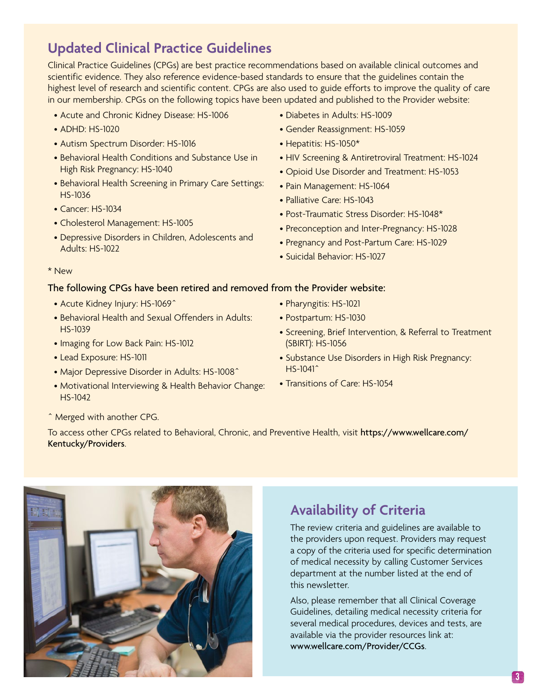### <span id="page-2-0"></span>**Updated Clinical Practice Guidelines**

Clinical Practice Guidelines (CPGs) are best practice recommendations based on available clinical outcomes and scientific evidence. They also reference evidence-based standards to ensure that the guidelines contain the highest level of research and scientific content. CPGs are also used to guide efforts to improve the quality of care in our membership. CPGs on the following topics have been updated and published to the Provider website:

- Acute and Chronic Kidney Disease: HS-1006
- ADHD: HS-1020
- Autism Spectrum Disorder: HS-1016
- Behavioral Health Conditions and Substance Use in High Risk Pregnancy: HS-1040
- Behavioral Health Screening in Primary Care Settings: HS-1036
- Cancer: HS-1034
- Cholesterol Management: HS-1005
- Depressive Disorders in Children, Adolescents and Adults: HS-1022
- Diabetes in Adults: HS-1009
- Gender Reassignment: HS-1059
- Hepatitis: HS-1050\*
- HIV Screening & Antiretroviral Treatment: HS-1024
- Opioid Use Disorder and Treatment: HS-1053
- Pain Management: HS-1064
- Palliative Care: HS-1043
- Post-Traumatic Stress Disorder: HS-1048\*
- Preconception and Inter-Pregnancy: HS-1028
- Pregnancy and Post-Partum Care: HS-1029
- Suicidal Behavior: HS-1027

#### \* New

#### The following CPGs have been retired and removed from the Provider website:

- Acute Kidney Injury: HS-1069^
- Behavioral Health and Sexual Offenders in Adults: HS-1039
- Imaging for Low Back Pain: HS-1012
- Lead Exposure: HS-1011
- Major Depressive Disorder in Adults: HS-1008^
- Motivational Interviewing & Health Behavior Change: HS-1042
- Pharyngitis: HS-1021
- Postpartum: HS-1030
- Screening, Brief Intervention, & Referral to Treatment (SBIRT): HS-1056
- Substance Use Disorders in High Risk Pregnancy: HS-1041^
- Transitions of Care: HS-1054

^ Merged with another CPG.

To access other CPGs related to Behavioral, Chronic, and Preventive Health, visit [https://www.wellcare.com/](https://www.wellcare.com/Kentucky/Providers)  [Kentucky/Providers](https://www.wellcare.com/Kentucky/Providers).



### **Availability of Criteria**

The review criteria and guidelines are available to the providers upon request. Providers may request a copy of the criteria used for specific determination of medical necessity by calling Customer Services department at the number listed at the end of this newsletter.

Also, please remember that all Clinical Coverage Guidelines, detailing medical necessity criteria for several medical procedures, devices and tests, are available via the provider resources link at: <www.wellcare.com/Provider/CCGs>.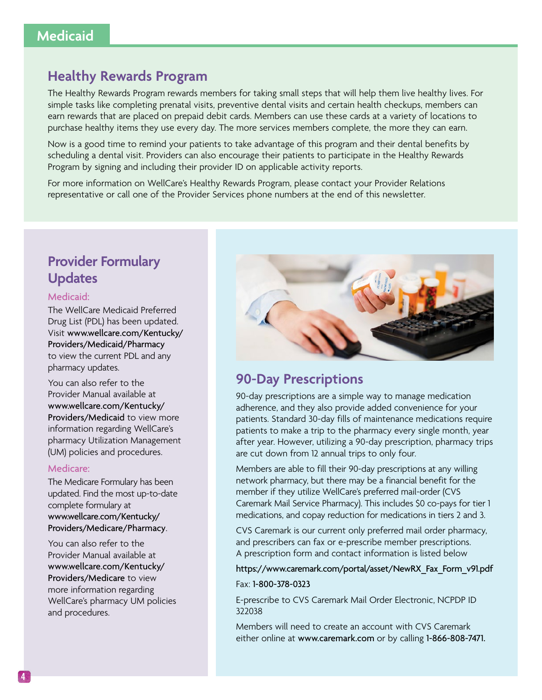### <span id="page-3-0"></span>**Healthy Rewards Program**

The Healthy Rewards Program rewards members for taking small steps that will help them live healthy lives. For simple tasks like completing prenatal visits, preventive dental visits and certain health checkups, members can earn rewards that are placed on prepaid debit cards. Members can use these cards at a variety of locations to purchase healthy items they use every day. The more services members complete, the more they can earn.

Now is a good time to remind your patients to take advantage of this program and their dental benefits by scheduling a dental visit. Providers can also encourage their patients to participate in the Healthy Rewards Program by signing and including their provider ID on applicable activity reports.

For more information on WellCare's Healthy Rewards Program, please contact your Provider Relations representative or call one of the Provider Services phone numbers at the end of this newsletter.

### **Provider Formulary Updates**

#### Medicaid:

The WellCare Medicaid Preferred Drug List (PDL) has been updated. Visit [www.wellcare.com/Kentucky/](http://www.wellcare.com/Kentucky/Providers/Medicaid/Pharmacy) [Providers/Medicaid/Pharmacy](http://www.wellcare.com/Kentucky/Providers/Medicaid/Pharmacy) to view the current PDL and any pharmacy updates.

You can also refer to the Provider Manual available at [www.wellcare.com/Kentucky/](http://www.wellcare.com/Kentucky/Providers/Medicaid) [Providers/Medicaid](http://www.wellcare.com/Kentucky/Providers/Medicaid) to view more information regarding WellCare's pharmacy Utilization Management (UM) policies and procedures.

#### Medicare:

The Medicare Formulary has been updated. Find the most up-to-date complete formulary at [www.wellcare.com/Kentucky/](http://www.wellcare.com/Kentucky/Providers/Medicare/Pharmacy)  [Providers/Medicare/Pharmacy](http://www.wellcare.com/Kentucky/Providers/Medicare/Pharmacy).

You can also refer to the Provider Manual available at [www.wellcare.com/Kentucky/](http://www.wellcare.com/Kentucky/Providers/Medicare) [Providers/Medicare](http://www.wellcare.com/Kentucky/Providers/Medicare) to view more information regarding WellCare's pharmacy UM policies and procedures.



### **90-Day Prescriptions**

90-day prescriptions are a simple way to manage medication adherence, and they also provide added convenience for your patients. Standard 30-day fills of maintenance medications require patients to make a trip to the pharmacy every single month, year after year. However, utilizing a 90-day prescription, pharmacy trips are cut down from 12 annual trips to only four.

Members are able to fill their 90-day prescriptions at any willing network pharmacy, but there may be a financial benefit for the member if they utilize WellCare's preferred mail-order (CVS Caremark Mail Service Pharmacy). This includes \$0 co-pays for tier 1 medications, and copay reduction for medications in tiers 2 and 3.

CVS Caremark is our current only preferred mail order pharmacy, and prescribers can fax or e-prescribe member prescriptions. A prescription form and contact information is listed below

[https://www.caremark.com/portal/asset/NewRX\\_Fax\\_Form\\_v91.pdf](https://www.caremark.com/portal/asset/NewRX_Fax_Form_v91.pdf) 

Fax: 1-800-378-0323

E-prescribe to CVS Caremark Mail Order Electronic, NCPDP ID 322038

Members will need to create an account with CVS Caremark either online at <www.caremark.com>or by calling 1-866-808-7471.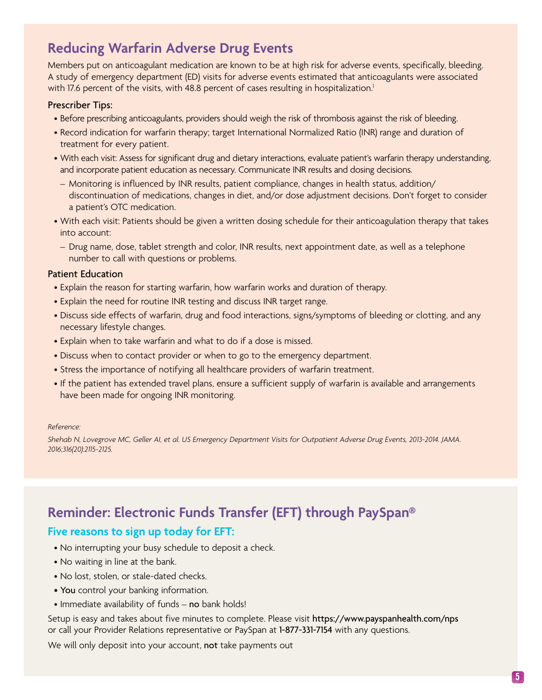### <span id="page-4-0"></span>**Reducing Warfarin Adverse Drug Events**

Members put on anticoagulant medication are known to be at high risk for adverse events, specifically, bleeding. A study of emergency department (ED) visits for adverse events estimated that anticoagulants were associated with 17.6 percent of the visits, with 48.8 percent of cases resulting in hospitalization.<sup>1</sup>

#### Prescriber Tips:

- Before prescribing anticoagulants, providers should weigh the risk of thrombosis against the risk of bleeding.
- Record indication for warfarin therapy; target International Normalized Ratio (INR) range and duration of treatment for every patient.
- With each visit: Assess for significant drug and dietary interactions, evaluate patient's warfarin therapy understanding, and incorporate patient education as necessary. Communicate INR results and dosing decisions.
- Monitoring is influenced by INR results, patient compliance, changes in health status, addition/ discontinuation of medications, changes in diet, and/or dose adjustment decisions. Don't forget to consider a patient's OTC medication.
- With each visit: Patients should be given a written dosing schedule for their anticoagulation therapy that takes into account:
- Drug name, dose, tablet strength and color, INR results, next appointment date, as well as a telephone number to call with questions or problems.

#### Patient Education

- Explain the reason for starting warfarin, how warfarin works and duration of therapy.
- Explain the need for routine INR testing and discuss INR target range.
- Discuss side effects of warfarin, drug and food interactions, signs/symptoms of bleeding or clotting, and any necessary lifestyle changes.
- Explain when to take warfarin and what to do if a dose is missed.
- Discuss when to contact provider or when to go to the emergency department.
- Stress the importance of notifying all healthcare providers of warfarin treatment.
- If the patient has extended travel plans, ensure a sufficient supply of warfarin is available and arrangements have been made for ongoing INR monitoring.

#### *Reference:*

*Shehab N, Lovegrove MC, Geller AI, et al. US Emergency Department Visits for Outpatient Adverse Drug Events, 2013-2014. JAMA. 2016;316(20):2115-2125.* 

### **Reminder: Electronic Funds Transfer (EFT) through PaySpan®**

### **Five reasons to sign up today for EFT:**

- No interrupting your busy schedule to deposit a check.
- No waiting in line at the bank.
- No lost, stolen, or stale-dated checks.
- You control your banking information.
- Immediate availability of funds no bank holds!

Setup is easy and takes about five minutes to complete. Please visit <https://www.payspanhealth.com/nps> or call your Provider Relations representative or PaySpan at 1-877-331-7154 with any questions.

We will only deposit into your account, not take payments out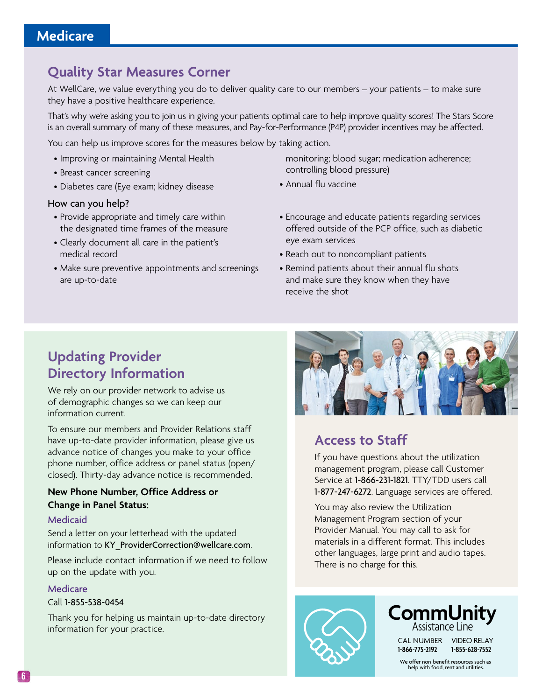### <span id="page-5-0"></span>**Quality Star Measures Corner**

At WellCare, we value everything you do to deliver quality care to our members – your patients – to make sure they have a positive healthcare experience.

That's why we're asking you to join us in giving your patients optimal care to help improve quality scores! The Stars Score is an overall summary of many of these measures, and Pay-for-Performance (P4P) provider incentives may be affected.

You can help us improve scores for the measures below by taking action.

- Improving or maintaining Mental Health
- Breast cancer screening
- Diabetes care (Eye exam; kidney disease

#### How can you help?

- Provide appropriate and timely care within the designated time frames of the measure
- Clearly document all care in the patient's medical record
- Make sure preventive appointments and screenings are up-to-date

monitoring; blood sugar; medication adherence; controlling blood pressure)

- Annual flu vaccine
- Encourage and educate patients regarding services offered outside of the PCP office, such as diabetic eye exam services
- Reach out to noncompliant patients
- Remind patients about their annual flu shots and make sure they know when they have receive the shot

### **Updating Provider Directory Information**

We rely on our provider network to advise us of demographic changes so we can keep our information current.

To ensure our members and Provider Relations staff have up-to-date provider information, please give us advance notice of changes you make to your office phone number, office address or panel status (open/ closed). Thirty-day advance notice is recommended.

### **New Phone Number, Office Address or Change in Panel Status:**

#### Medicaid

Send a letter on your letterhead with the updated information to [KY\\_ProviderCorrection@wellcare.com](mailto:KY_ProviderCorrection@wellcare.com).

Please include contact information if we need to follow up on the update with you.

#### Medicare

#### Call 1-855-538-0454

Thank you for helping us maintain up-to-date directory information for your practice.



### **Access to Staff**

If you have questions about the utilization management program, please call Customer Service at 1-866-231-1821. TTY/TDD users call 1-877-247-6272. Language services are offered.

You may also review the Utilization Management Program section of your Provider Manual. You may call to ask for materials in a different format. This includes other languages, large print and audio tapes. There is no charge for this.





CAL NUMBER VIDEO RELAY **1-866-775-2192 1-855-628-7552** 

We offer non-benefit resources such as help with food, rent and utilities.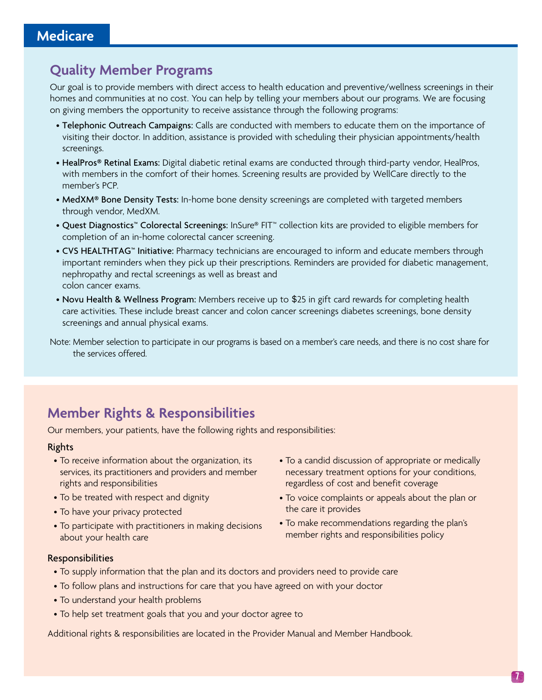### <span id="page-6-0"></span>**Quality Member Programs**

Our goal is to provide members with direct access to health education and preventive/wellness screenings in their homes and communities at no cost. You can help by telling your members about our programs. We are focusing on giving members the opportunity to receive assistance through the following programs:

- Telephonic Outreach Campaigns: Calls are conducted with members to educate them on the importance of visiting their doctor. In addition, assistance is provided with scheduling their physician appointments/health screenings.
- HealPros® Retinal Exams: Digital diabetic retinal exams are conducted through third-party vendor, HealPros, with members in the comfort of their homes. Screening results are provided by WellCare directly to the member's PCP.
- MedXM® Bone Density Tests: In-home bone density screenings are completed with targeted members through vendor, MedXM.
- Quest Diagnostics™ Colorectal Screenings: InSure® FIT™ collection kits are provided to eligible members for completion of an in-home colorectal cancer screening.
- CVS HEALTHTAG™ Initiative: Pharmacy technicians are encouraged to inform and educate members through important reminders when they pick up their prescriptions. Reminders are provided for diabetic management, nephropathy and rectal screenings as well as breast and colon cancer exams.
- Novu Health & Wellness Program: Members receive up to \$25 in gift card rewards for completing health care activities. These include breast cancer and colon cancer screenings diabetes screenings, bone density screenings and annual physical exams.

Note: Member selection to participate in our programs is based on a member's care needs, and there is no cost share for the services offered.

### **Member Rights & Responsibilities**

Our members, your patients, have the following rights and responsibilities:

### Rights

- To receive information about the organization, its services, its practitioners and providers and member rights and responsibilities
- To be treated with respect and dignity
- To have your privacy protected
- To participate with practitioners in making decisions about your health care
- To a candid discussion of appropriate or medically necessary treatment options for your conditions, regardless of cost and benefit coverage
- To voice complaints or appeals about the plan or the care it provides
- To make recommendations regarding the plan's member rights and responsibilities policy

### Responsibilities

- To supply information that the plan and its doctors and providers need to provide care
- To follow plans and instructions for care that you have agreed on with your doctor
- To understand your health problems
- To help set treatment goals that you and your doctor agree to

Additional rights & responsibilities are located in the Provider Manual and Member Handbook.